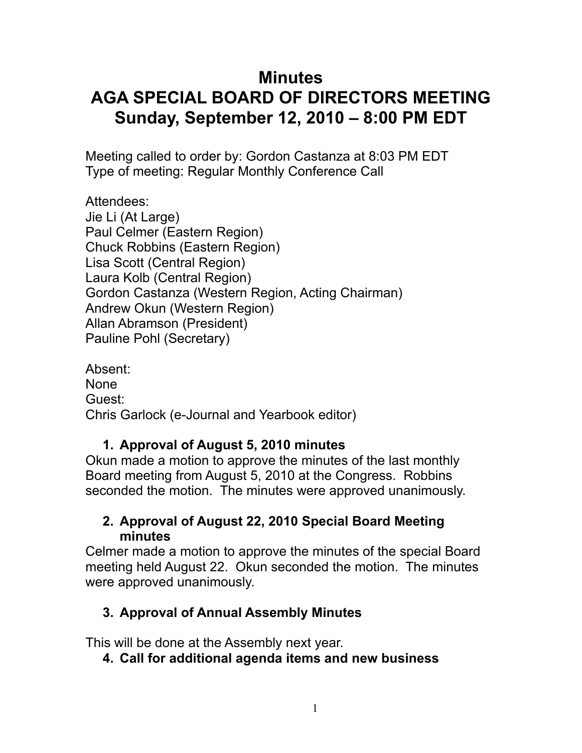# **Minutes AGA SPECIAL BOARD OF DIRECTORS MEETING Sunday, September 12, 2010 – 8:00 PM EDT**

Meeting called to order by: Gordon Castanza at 8:03 PM EDT Type of meeting: Regular Monthly Conference Call

Attendees: Jie Li (At Large) Paul Celmer (Eastern Region) Chuck Robbins (Eastern Region) Lisa Scott (Central Region) Laura Kolb (Central Region) Gordon Castanza (Western Region, Acting Chairman) Andrew Okun (Western Region) Allan Abramson (President) Pauline Pohl (Secretary)

Absent: None Guest: Chris Garlock (e-Journal and Yearbook editor)

# **1. Approval of August 5, 2010 minutes**

Okun made a motion to approve the minutes of the last monthly Board meeting from August 5, 2010 at the Congress. Robbins seconded the motion. The minutes were approved unanimously.

## **2. Approval of August 22, 2010 Special Board Meeting minutes**

Celmer made a motion to approve the minutes of the special Board meeting held August 22. Okun seconded the motion. The minutes were approved unanimously.

# **3. Approval of Annual Assembly Minutes**

This will be done at the Assembly next year.

**4. Call for additional agenda items and new business**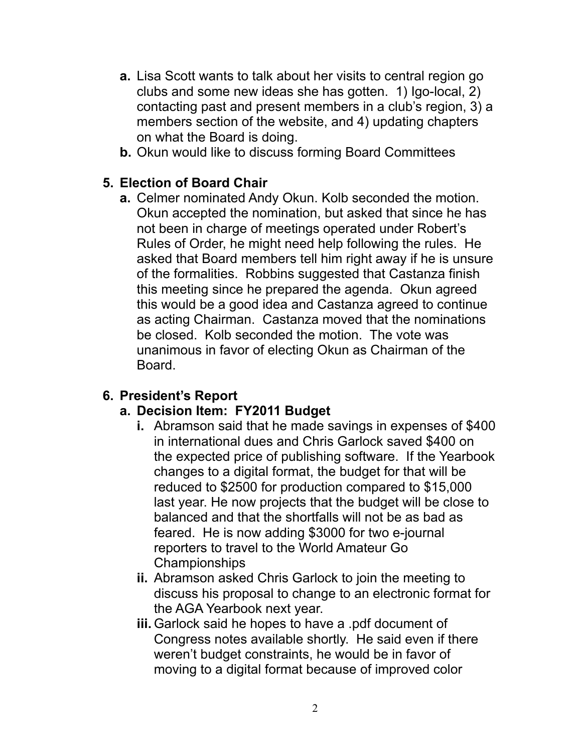- **a.** Lisa Scott wants to talk about her visits to central region go clubs and some new ideas she has gotten. 1) Igo-local, 2) contacting past and present members in a club's region, 3) a members section of the website, and 4) updating chapters on what the Board is doing.
- **b.** Okun would like to discuss forming Board Committees

#### **5. Election of Board Chair**

**a.** Celmer nominated Andy Okun. Kolb seconded the motion. Okun accepted the nomination, but asked that since he has not been in charge of meetings operated under Robert's Rules of Order, he might need help following the rules. He asked that Board members tell him right away if he is unsure of the formalities. Robbins suggested that Castanza finish this meeting since he prepared the agenda. Okun agreed this would be a good idea and Castanza agreed to continue as acting Chairman. Castanza moved that the nominations be closed. Kolb seconded the motion. The vote was unanimous in favor of electing Okun as Chairman of the Board.

#### **6. President's Report**

#### **a. Decision Item: FY2011 Budget**

- **i.** Abramson said that he made savings in expenses of \$400 in international dues and Chris Garlock saved \$400 on the expected price of publishing software. If the Yearbook changes to a digital format, the budget for that will be reduced to \$2500 for production compared to \$15,000 last year. He now projects that the budget will be close to balanced and that the shortfalls will not be as bad as feared. He is now adding \$3000 for two e-journal reporters to travel to the World Amateur Go Championships
- **ii.** Abramson asked Chris Garlock to join the meeting to discuss his proposal to change to an electronic format for the AGA Yearbook next year.
- **iii.** Garlock said he hopes to have a .pdf document of Congress notes available shortly. He said even if there weren't budget constraints, he would be in favor of moving to a digital format because of improved color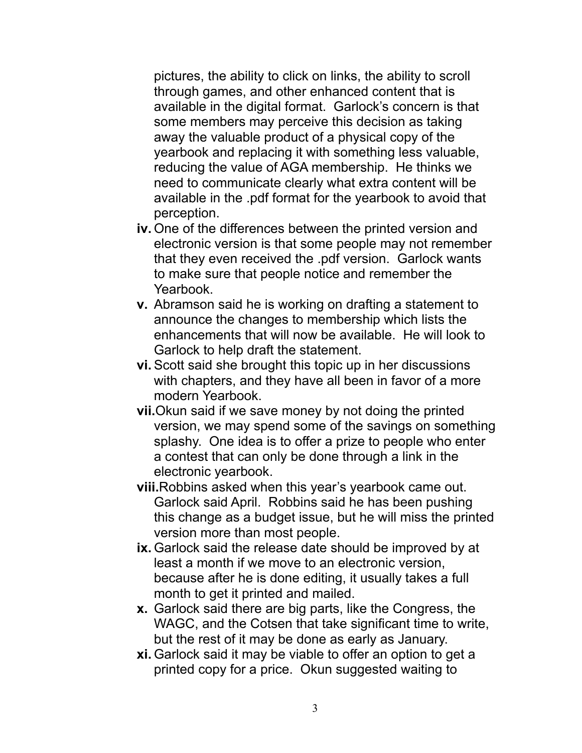pictures, the ability to click on links, the ability to scroll through games, and other enhanced content that is available in the digital format. Garlock's concern is that some members may perceive this decision as taking away the valuable product of a physical copy of the yearbook and replacing it with something less valuable, reducing the value of AGA membership. He thinks we need to communicate clearly what extra content will be available in the .pdf format for the yearbook to avoid that perception.

- **iv.** One of the differences between the printed version and electronic version is that some people may not remember that they even received the .pdf version. Garlock wants to make sure that people notice and remember the Yearbook.
- **v.** Abramson said he is working on drafting a statement to announce the changes to membership which lists the enhancements that will now be available. He will look to Garlock to help draft the statement.
- **vi.** Scott said she brought this topic up in her discussions with chapters, and they have all been in favor of a more modern Yearbook.
- **vii.**Okun said if we save money by not doing the printed version, we may spend some of the savings on something splashy. One idea is to offer a prize to people who enter a contest that can only be done through a link in the electronic yearbook.
- **viii.**Robbins asked when this year's yearbook came out. Garlock said April. Robbins said he has been pushing this change as a budget issue, but he will miss the printed version more than most people.
- **ix.** Garlock said the release date should be improved by at least a month if we move to an electronic version, because after he is done editing, it usually takes a full month to get it printed and mailed.
- **x.** Garlock said there are big parts, like the Congress, the WAGC, and the Cotsen that take significant time to write, but the rest of it may be done as early as January.
- **xi.** Garlock said it may be viable to offer an option to get a printed copy for a price. Okun suggested waiting to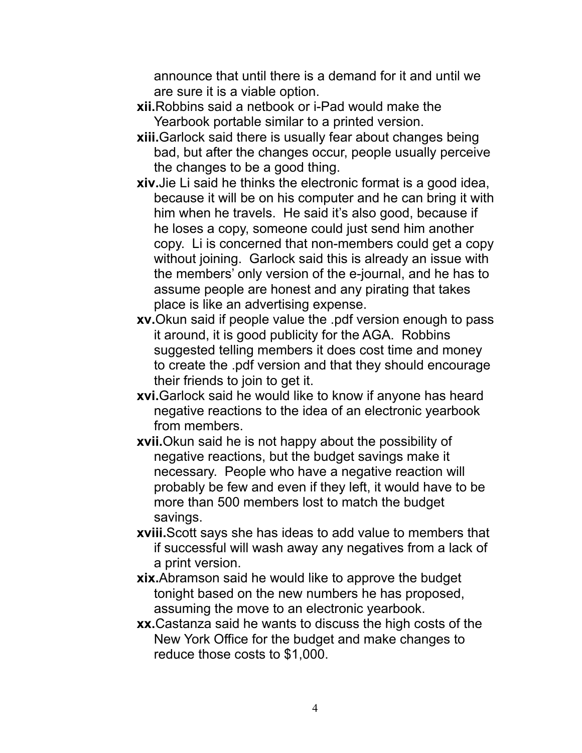announce that until there is a demand for it and until we are sure it is a viable option.

- **xii.**Robbins said a netbook or i-Pad would make the Yearbook portable similar to a printed version.
- **xiii.**Garlock said there is usually fear about changes being bad, but after the changes occur, people usually perceive the changes to be a good thing.
- **xiv.**Jie Li said he thinks the electronic format is a good idea, because it will be on his computer and he can bring it with him when he travels. He said it's also good, because if he loses a copy, someone could just send him another copy. Li is concerned that non-members could get a copy without joining. Garlock said this is already an issue with the members' only version of the e-journal, and he has to assume people are honest and any pirating that takes place is like an advertising expense.
- **xv.**Okun said if people value the .pdf version enough to pass it around, it is good publicity for the AGA. Robbins suggested telling members it does cost time and money to create the .pdf version and that they should encourage their friends to join to get it.
- **xvi.**Garlock said he would like to know if anyone has heard negative reactions to the idea of an electronic yearbook from members.
- **xvii.**Okun said he is not happy about the possibility of negative reactions, but the budget savings make it necessary. People who have a negative reaction will probably be few and even if they left, it would have to be more than 500 members lost to match the budget savings.
- **xviii.**Scott says she has ideas to add value to members that if successful will wash away any negatives from a lack of a print version.
- **xix.**Abramson said he would like to approve the budget tonight based on the new numbers he has proposed, assuming the move to an electronic yearbook.
- **xx.**Castanza said he wants to discuss the high costs of the New York Office for the budget and make changes to reduce those costs to \$1,000.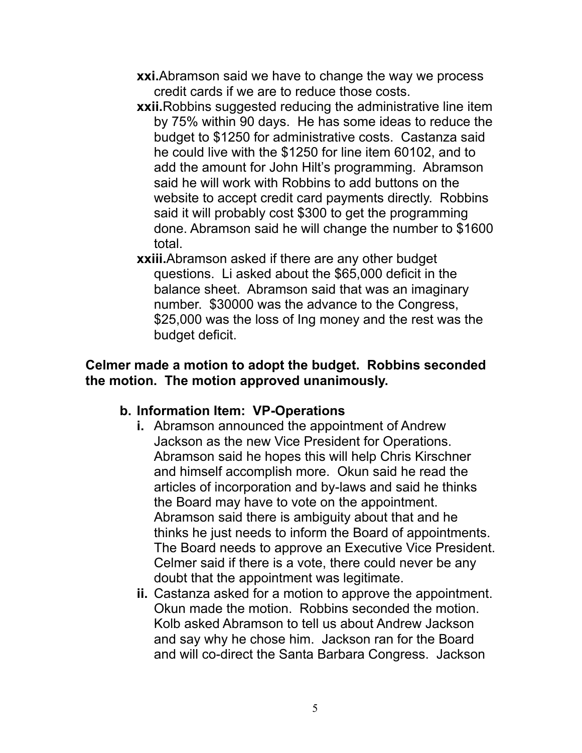- **xxi.**Abramson said we have to change the way we process credit cards if we are to reduce those costs.
- **xxii.** Robbins suggested reducing the administrative line item by 75% within 90 days. He has some ideas to reduce the budget to \$1250 for administrative costs. Castanza said he could live with the \$1250 for line item 60102, and to add the amount for John Hilt's programming. Abramson said he will work with Robbins to add buttons on the website to accept credit card payments directly. Robbins said it will probably cost \$300 to get the programming done. Abramson said he will change the number to \$1600 total.
- **xxiii.**Abramson asked if there are any other budget questions. Li asked about the \$65,000 deficit in the balance sheet. Abramson said that was an imaginary number. \$30000 was the advance to the Congress, \$25,000 was the loss of Ing money and the rest was the budget deficit.

#### **Celmer made a motion to adopt the budget. Robbins seconded the motion. The motion approved unanimously.**

#### **b. Information Item: VP-Operations**

- **i.** Abramson announced the appointment of Andrew Jackson as the new Vice President for Operations. Abramson said he hopes this will help Chris Kirschner and himself accomplish more. Okun said he read the articles of incorporation and by-laws and said he thinks the Board may have to vote on the appointment. Abramson said there is ambiguity about that and he thinks he just needs to inform the Board of appointments. The Board needs to approve an Executive Vice President. Celmer said if there is a vote, there could never be any doubt that the appointment was legitimate.
- **ii.** Castanza asked for a motion to approve the appointment. Okun made the motion. Robbins seconded the motion. Kolb asked Abramson to tell us about Andrew Jackson and say why he chose him. Jackson ran for the Board and will co-direct the Santa Barbara Congress. Jackson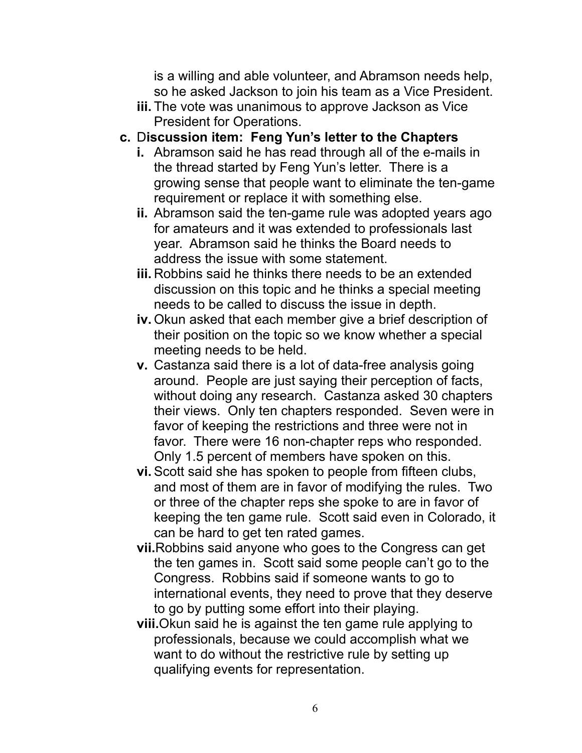is a willing and able volunteer, and Abramson needs help, so he asked Jackson to join his team as a Vice President.

- **iii.** The vote was unanimous to approve Jackson as Vice President for Operations.
- **c.** D**iscussion item: Feng Yun's letter to the Chapters**
	- **i.** Abramson said he has read through all of the e-mails in the thread started by Feng Yun's letter. There is a growing sense that people want to eliminate the ten-game requirement or replace it with something else.
	- **ii.** Abramson said the ten-game rule was adopted years ago for amateurs and it was extended to professionals last year. Abramson said he thinks the Board needs to address the issue with some statement.
	- **iii.** Robbins said he thinks there needs to be an extended discussion on this topic and he thinks a special meeting needs to be called to discuss the issue in depth.
	- **iv.** Okun asked that each member give a brief description of their position on the topic so we know whether a special meeting needs to be held.
	- **v.** Castanza said there is a lot of data-free analysis going around. People are just saying their perception of facts, without doing any research. Castanza asked 30 chapters their views. Only ten chapters responded. Seven were in favor of keeping the restrictions and three were not in favor. There were 16 non-chapter reps who responded. Only 1.5 percent of members have spoken on this.
	- **vi.** Scott said she has spoken to people from fifteen clubs, and most of them are in favor of modifying the rules. Two or three of the chapter reps she spoke to are in favor of keeping the ten game rule. Scott said even in Colorado, it can be hard to get ten rated games.
	- **vii.**Robbins said anyone who goes to the Congress can get the ten games in. Scott said some people can't go to the Congress. Robbins said if someone wants to go to international events, they need to prove that they deserve to go by putting some effort into their playing.
	- **viii.**Okun said he is against the ten game rule applying to professionals, because we could accomplish what we want to do without the restrictive rule by setting up qualifying events for representation.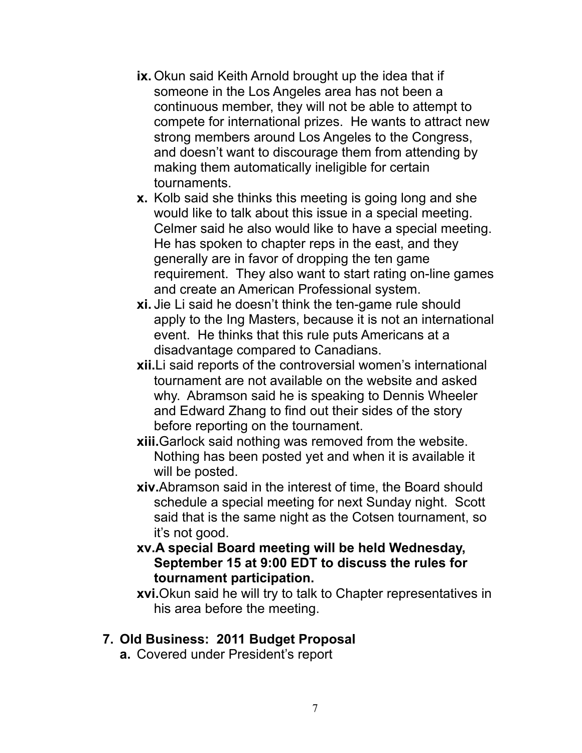- **ix.** Okun said Keith Arnold brought up the idea that if someone in the Los Angeles area has not been a continuous member, they will not be able to attempt to compete for international prizes. He wants to attract new strong members around Los Angeles to the Congress, and doesn't want to discourage them from attending by making them automatically ineligible for certain tournaments.
- **x.** Kolb said she thinks this meeting is going long and she would like to talk about this issue in a special meeting. Celmer said he also would like to have a special meeting. He has spoken to chapter reps in the east, and they generally are in favor of dropping the ten game requirement. They also want to start rating on-line games and create an American Professional system.
- **xi.** Jie Li said he doesn't think the ten-game rule should apply to the Ing Masters, because it is not an international event. He thinks that this rule puts Americans at a disadvantage compared to Canadians.
- **xii.**Li said reports of the controversial women's international tournament are not available on the website and asked why. Abramson said he is speaking to Dennis Wheeler and Edward Zhang to find out their sides of the story before reporting on the tournament.
- **xiii.**Garlock said nothing was removed from the website. Nothing has been posted yet and when it is available it will be posted.
- **xiv.**Abramson said in the interest of time, the Board should schedule a special meeting for next Sunday night. Scott said that is the same night as the Cotsen tournament, so it's not good.
- **xv.A special Board meeting will be held Wednesday, September 15 at 9:00 EDT to discuss the rules for tournament participation.**

**xvi.**Okun said he will try to talk to Chapter representatives in his area before the meeting.

#### **7. Old Business: 2011 Budget Proposal**

**a.** Covered under President's report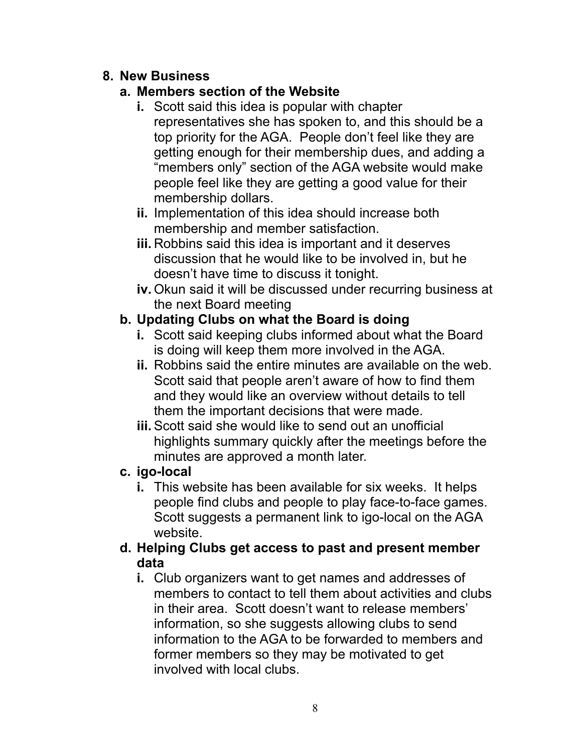## **8. New Business**

# **a. Members section of the Website**

- **i.** Scott said this idea is popular with chapter representatives she has spoken to, and this should be a top priority for the AGA. People don't feel like they are getting enough for their membership dues, and adding a "members only" section of the AGA website would make people feel like they are getting a good value for their membership dollars.
- **ii.** Implementation of this idea should increase both membership and member satisfaction.
- **iii.** Robbins said this idea is important and it deserves discussion that he would like to be involved in, but he doesn't have time to discuss it tonight.
- **iv.** Okun said it will be discussed under recurring business at the next Board meeting

# **b. Updating Clubs on what the Board is doing**

- **i.** Scott said keeping clubs informed about what the Board is doing will keep them more involved in the AGA.
- **ii.** Robbins said the entire minutes are available on the web. Scott said that people aren't aware of how to find them and they would like an overview without details to tell them the important decisions that were made.
- **iii.** Scott said she would like to send out an unofficial highlights summary quickly after the meetings before the minutes are approved a month later.

# **c. igo-local**

**i.** This website has been available for six weeks. It helps people find clubs and people to play face-to-face games. Scott suggests a permanent link to igo-local on the AGA website.

## **d. Helping Clubs get access to past and present member data**

**i.** Club organizers want to get names and addresses of members to contact to tell them about activities and clubs in their area. Scott doesn't want to release members' information, so she suggests allowing clubs to send information to the AGA to be forwarded to members and former members so they may be motivated to get involved with local clubs.